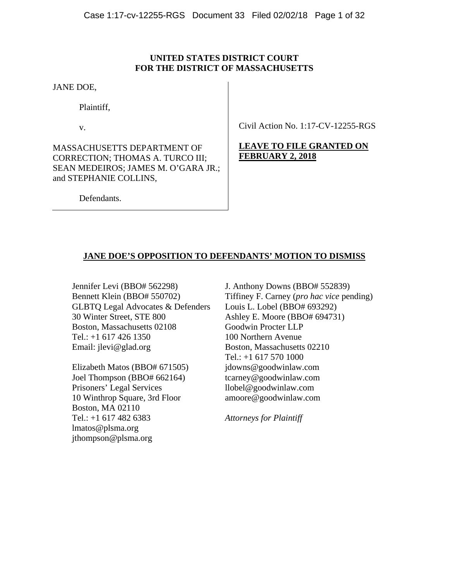## **UNITED STATES DISTRICT COURT FOR THE DISTRICT OF MASSACHUSETTS**

JANE DOE,

Plaintiff,

v.

MASSACHUSETTS DEPARTMENT OF CORRECTION; THOMAS A. TURCO III; SEAN MEDEIROS; JAMES M. O'GARA JR.; and STEPHANIE COLLINS,

Civil Action No. 1:17-CV-12255-RGS

# **LEAVE TO FILE GRANTED ON FEBRUARY 2, 2018**

Defendants.

# **JANE DOE'S OPPOSITION TO DEFENDANTS' MOTION TO DISMISS**

Jennifer Levi (BBO# 562298) Bennett Klein (BBO# 550702) GLBTQ Legal Advocates & Defenders 30 Winter Street, STE 800 Boston, Massachusetts 02108 Tel.: +1 617 426 1350 Email: jlevi@glad.org

Elizabeth Matos (BBO# 671505) Joel Thompson (BBO# 662164) Prisoners' Legal Services 10 Winthrop Square, 3rd Floor Boston, MA 02110 Tel.: +1 617 482 6383 lmatos@plsma.org jthompson@plsma.org

J. Anthony Downs (BBO# 552839) Tiffiney F. Carney (*pro hac vice* pending) Louis L. Lobel (BBO# 693292) Ashley E. Moore (BBO# 694731) Goodwin Procter LLP 100 Northern Avenue Boston, Massachusetts 02210 Tel.: +1 617 570 1000 jdowns@goodwinlaw.com tcarney@goodwinlaw.com llobel@goodwinlaw.com amoore@goodwinlaw.com

*Attorneys for Plaintiff*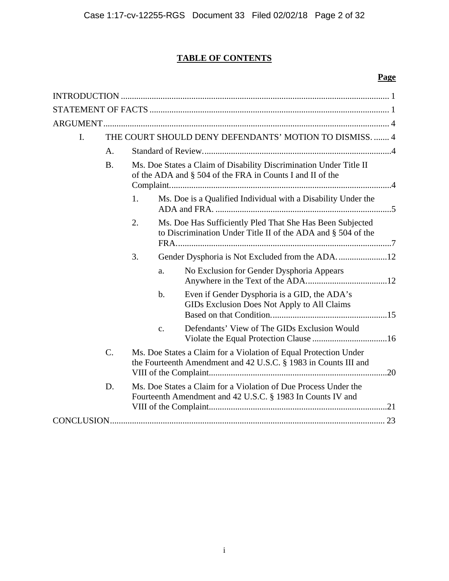# **TABLE OF CONTENTS**

# **Page**

| I. | THE COURT SHOULD DENY DEFENDANTS' MOTION TO DISMISS.  4 |                                                                                                                                 |       |                                                                                                                                     |  |  |
|----|---------------------------------------------------------|---------------------------------------------------------------------------------------------------------------------------------|-------|-------------------------------------------------------------------------------------------------------------------------------------|--|--|
|    | A.                                                      |                                                                                                                                 |       |                                                                                                                                     |  |  |
|    | <b>B.</b>                                               | Ms. Doe States a Claim of Disability Discrimination Under Title II<br>of the ADA and § 504 of the FRA in Counts I and II of the |       |                                                                                                                                     |  |  |
|    |                                                         | 1.                                                                                                                              |       | Ms. Doe is a Qualified Individual with a Disability Under the                                                                       |  |  |
|    |                                                         | 2.                                                                                                                              |       | Ms. Doe Has Sufficiently Pled That She Has Been Subjected<br>to Discrimination Under Title II of the ADA and § 504 of the           |  |  |
|    |                                                         | 3.                                                                                                                              |       |                                                                                                                                     |  |  |
|    |                                                         |                                                                                                                                 | a.    | No Exclusion for Gender Dysphoria Appears                                                                                           |  |  |
|    |                                                         |                                                                                                                                 | $b$ . | Even if Gender Dysphoria is a GID, the ADA's<br>GIDs Exclusion Does Not Apply to All Claims                                         |  |  |
|    |                                                         |                                                                                                                                 | c.    | Defendants' View of The GIDs Exclusion Would                                                                                        |  |  |
|    | $\mathcal{C}$ .                                         |                                                                                                                                 |       | Ms. Doe States a Claim for a Violation of Equal Protection Under<br>the Fourteenth Amendment and 42 U.S.C. § 1983 in Counts III and |  |  |
|    | D.                                                      |                                                                                                                                 |       | Ms. Doe States a Claim for a Violation of Due Process Under the<br>Fourteenth Amendment and 42 U.S.C. § 1983 In Counts IV and       |  |  |
|    |                                                         |                                                                                                                                 |       |                                                                                                                                     |  |  |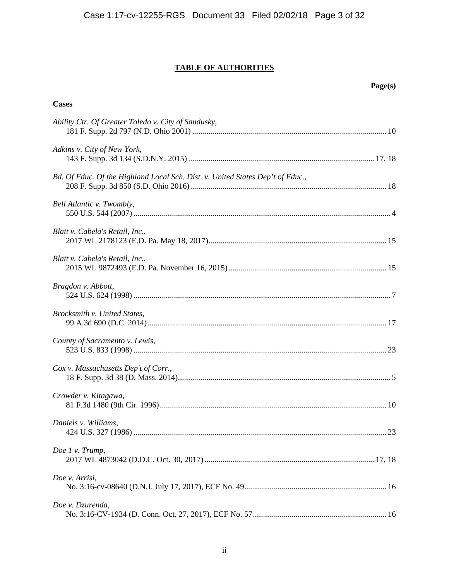# **TABLE OF AUTHORITIES**

| <b>Cases</b>                                                                   |
|--------------------------------------------------------------------------------|
| Ability Ctr. Of Greater Toledo v. City of Sandusky,                            |
| Adkins v. City of New York,                                                    |
| Bd. Of Educ. Of the Highland Local Sch. Dist. v. United States Dep't of Educ., |
| Bell Atlantic v. Twombly,                                                      |
| Blatt v. Cabela's Retail, Inc.,                                                |
| Blatt v. Cabela's Retail, Inc.,                                                |
| Bragdon v. Abbott,                                                             |
| Brocksmith v. United States,                                                   |
| County of Sacramento v. Lewis,                                                 |
| Cox v. Massachusetts Dep't of Corr.,                                           |
| Crowder v. Kitagawa,                                                           |
| Daniels v. Williams,                                                           |
| Doe 1 v. Trump,                                                                |
| Doe v. Arrisi,                                                                 |
| Doe v. Dzurenda,                                                               |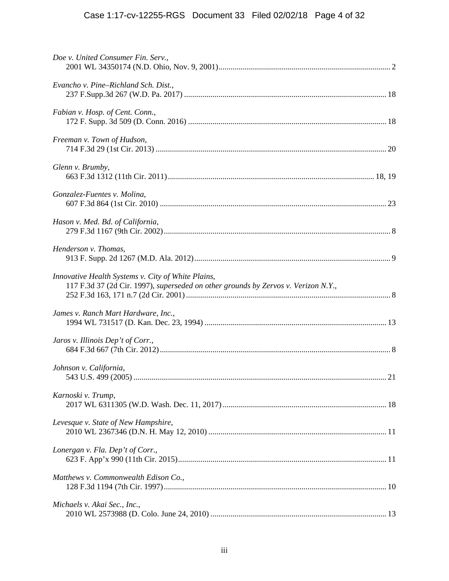| Doe v. United Consumer Fin. Serv.,                                                                                                       |
|------------------------------------------------------------------------------------------------------------------------------------------|
| Evancho v. Pine-Richland Sch. Dist.,                                                                                                     |
| Fabian v. Hosp. of Cent. Conn.,                                                                                                          |
| Freeman v. Town of Hudson,                                                                                                               |
| Glenn v. Brumby,                                                                                                                         |
| Gonzalez-Fuentes v. Molina,                                                                                                              |
| Hason v. Med. Bd. of California,                                                                                                         |
| Henderson v. Thomas,                                                                                                                     |
| Innovative Health Systems v. City of White Plains,<br>117 F.3d 37 (2d Cir. 1997), superseded on other grounds by Zervos v. Verizon N.Y., |
| James v. Ranch Mart Hardware, Inc.,                                                                                                      |
| Jaros v. Illinois Dep't of Corr.,                                                                                                        |
| Johnson v. California,                                                                                                                   |
| Karnoski v. Trump,                                                                                                                       |
| Levesque v. State of New Hampshire,                                                                                                      |
| Lonergan v. Fla. Dep't of Corr.,                                                                                                         |
| Matthews v. Commonwealth Edison Co.,                                                                                                     |
| Michaels v. Akai Sec., Inc.,                                                                                                             |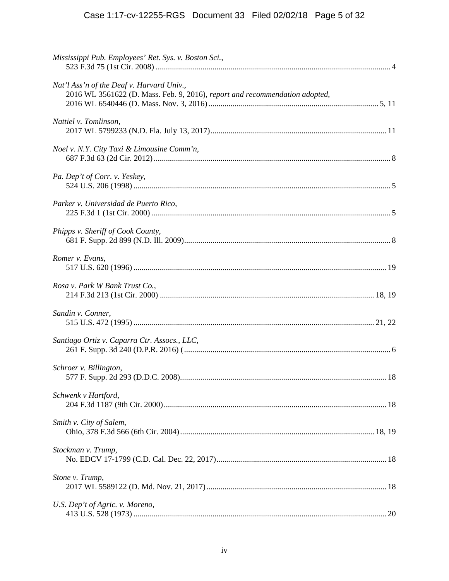# Case 1:17-cv-12255-RGS Document 33 Filed 02/02/18 Page 5 of 32

| Mississippi Pub. Employees' Ret. Sys. v. Boston Sci.,                                                                    |  |
|--------------------------------------------------------------------------------------------------------------------------|--|
| Nat'l Ass'n of the Deaf v. Harvard Univ.,<br>2016 WL 3561622 (D. Mass. Feb. 9, 2016), report and recommendation adopted, |  |
| Nattiel v. Tomlinson,                                                                                                    |  |
| Noel v. N.Y. City Taxi & Limousine Comm'n,                                                                               |  |
| Pa. Dep't of Corr. v. Yeskey,                                                                                            |  |
| Parker v. Universidad de Puerto Rico,                                                                                    |  |
| Phipps v. Sheriff of Cook County,                                                                                        |  |
| Romer v. Evans,                                                                                                          |  |
| Rosa v. Park W Bank Trust Co.,                                                                                           |  |
| Sandin v. Conner,                                                                                                        |  |
| Santiago Ortiz v. Caparra Ctr. Assocs., LLC,                                                                             |  |
| Schroer v. Billington,                                                                                                   |  |
| Schwenk v Hartford,                                                                                                      |  |
| Smith v. City of Salem,                                                                                                  |  |
| Stockman v. Trump,                                                                                                       |  |
| Stone v. Trump,                                                                                                          |  |
| U.S. Dep't of Agric. v. Moreno,                                                                                          |  |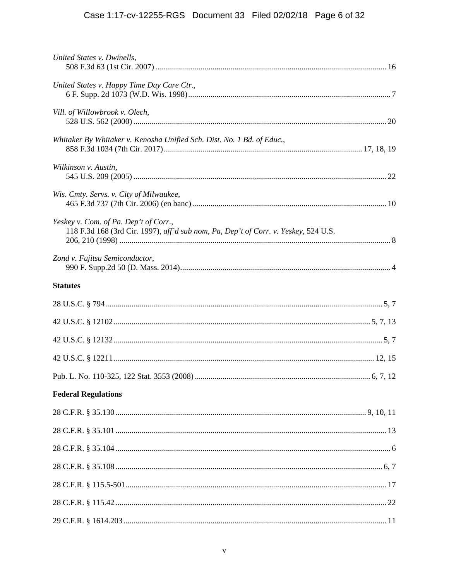# Case 1:17-cv-12255-RGS Document 33 Filed 02/02/18 Page 6 of 32

| United States v. Dwinells,                                                                                                   |  |
|------------------------------------------------------------------------------------------------------------------------------|--|
| United States v. Happy Time Day Care Ctr.,                                                                                   |  |
| Vill. of Willowbrook v. Olech,                                                                                               |  |
| Whitaker By Whitaker v. Kenosha Unified Sch. Dist. No. 1 Bd. of Educ.,                                                       |  |
| Wilkinson v. Austin,                                                                                                         |  |
| Wis. Cmty. Servs. v. City of Milwaukee,                                                                                      |  |
| Yeskey v. Com. of Pa. Dep't of Corr.,<br>118 F.3d 168 (3rd Cir. 1997), aff'd sub nom, Pa, Dep't of Corr. v. Yeskey, 524 U.S. |  |
| Zond v. Fujitsu Semiconductor,                                                                                               |  |
| <b>Statutes</b>                                                                                                              |  |
|                                                                                                                              |  |
|                                                                                                                              |  |
|                                                                                                                              |  |
|                                                                                                                              |  |
|                                                                                                                              |  |
| <b>Federal Regulations</b>                                                                                                   |  |
|                                                                                                                              |  |
|                                                                                                                              |  |
|                                                                                                                              |  |
|                                                                                                                              |  |
|                                                                                                                              |  |
|                                                                                                                              |  |
|                                                                                                                              |  |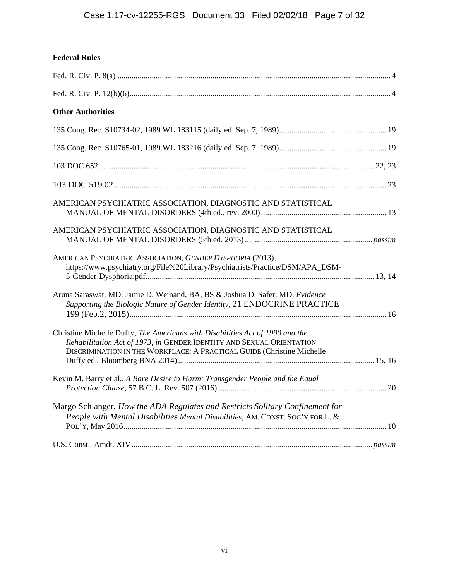| <b>Federal Rules</b> |  |
|----------------------|--|
|                      |  |

| <b>Other Authorities</b>                                                                                                                                                                                                         |  |
|----------------------------------------------------------------------------------------------------------------------------------------------------------------------------------------------------------------------------------|--|
|                                                                                                                                                                                                                                  |  |
|                                                                                                                                                                                                                                  |  |
|                                                                                                                                                                                                                                  |  |
|                                                                                                                                                                                                                                  |  |
| AMERICAN PSYCHIATRIC ASSOCIATION, DIAGNOSTIC AND STATISTICAL                                                                                                                                                                     |  |
| AMERICAN PSYCHIATRIC ASSOCIATION, DIAGNOSTIC AND STATISTICAL                                                                                                                                                                     |  |
| AMERICAN PSYCHIATRIC ASSOCIATION, GENDER DYSPHORIA (2013),<br>https://www.psychiatry.org/File%20Library/Psychiatrists/Practice/DSM/APA_DSM-                                                                                      |  |
| Aruna Saraswat, MD, Jamie D. Weinand, BA, BS & Joshua D. Safer, MD, Evidence<br>Supporting the Biologic Nature of Gender Identity, 21 ENDOCRINE PRACTICE                                                                         |  |
| Christine Michelle Duffy, The Americans with Disabilities Act of 1990 and the<br>Rehabilitation Act of 1973, in GENDER IDENTITY AND SEXUAL ORIENTATION<br>DISCRIMINATION IN THE WORKPLACE: A PRACTICAL GUIDE (Christine Michelle |  |
| Kevin M. Barry et al., A Bare Desire to Harm: Transgender People and the Equal                                                                                                                                                   |  |
| Margo Schlanger, How the ADA Regulates and Restricts Solitary Confinement for<br>People with Mental Disabilities Mental Disabilities, AM. CONST. SOC'Y FOR L. &                                                                  |  |
|                                                                                                                                                                                                                                  |  |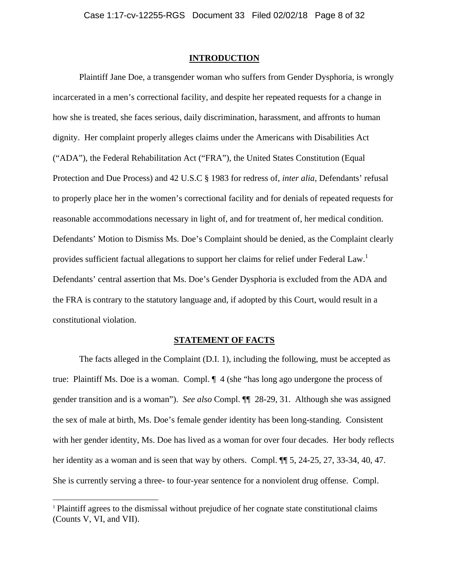#### **INTRODUCTION**

Plaintiff Jane Doe, a transgender woman who suffers from Gender Dysphoria, is wrongly incarcerated in a men's correctional facility, and despite her repeated requests for a change in how she is treated, she faces serious, daily discrimination, harassment, and affronts to human dignity. Her complaint properly alleges claims under the Americans with Disabilities Act ("ADA"), the Federal Rehabilitation Act ("FRA"), the United States Constitution (Equal Protection and Due Process) and 42 U.S.C § 1983 for redress of, *inter alia*, Defendants' refusal to properly place her in the women's correctional facility and for denials of repeated requests for reasonable accommodations necessary in light of, and for treatment of, her medical condition. Defendants' Motion to Dismiss Ms. Doe's Complaint should be denied, as the Complaint clearly provides sufficient factual allegations to support her claims for relief under Federal Law.<sup>1</sup> Defendants' central assertion that Ms. Doe's Gender Dysphoria is excluded from the ADA and the FRA is contrary to the statutory language and, if adopted by this Court, would result in a constitutional violation.

### **STATEMENT OF FACTS**

The facts alleged in the Complaint (D.I. 1), including the following, must be accepted as true: Plaintiff Ms. Doe is a woman. Compl. ¶ 4 (she "has long ago undergone the process of gender transition and is a woman"). *See also* Compl. ¶¶ 28-29, 31. Although she was assigned the sex of male at birth, Ms. Doe's female gender identity has been long-standing. Consistent with her gender identity, Ms. Doe has lived as a woman for over four decades. Her body reflects her identity as a woman and is seen that way by others. Compl.  $\P$  5, 24-25, 27, 33-34, 40, 47. She is currently serving a three- to four-year sentence for a nonviolent drug offense. Compl.

<sup>&</sup>lt;sup>1</sup> Plaintiff agrees to the dismissal without prejudice of her cognate state constitutional claims (Counts V, VI, and VII).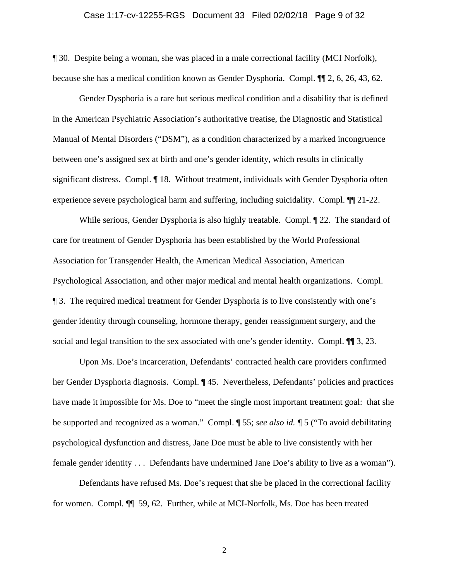#### Case 1:17-cv-12255-RGS Document 33 Filed 02/02/18 Page 9 of 32

¶ 30. Despite being a woman, she was placed in a male correctional facility (MCI Norfolk), because she has a medical condition known as Gender Dysphoria. Compl. ¶¶ 2, 6, 26, 43, 62.

Gender Dysphoria is a rare but serious medical condition and a disability that is defined in the American Psychiatric Association's authoritative treatise, the Diagnostic and Statistical Manual of Mental Disorders ("DSM"), as a condition characterized by a marked incongruence between one's assigned sex at birth and one's gender identity, which results in clinically significant distress. Compl. ¶ 18. Without treatment, individuals with Gender Dysphoria often experience severe psychological harm and suffering, including suicidality. Compl. ¶¶ 21-22.

While serious, Gender Dysphoria is also highly treatable. Compl.  $\llbracket 22$ . The standard of care for treatment of Gender Dysphoria has been established by the World Professional Association for Transgender Health, the American Medical Association, American Psychological Association, and other major medical and mental health organizations. Compl. ¶ 3. The required medical treatment for Gender Dysphoria is to live consistently with one's gender identity through counseling, hormone therapy, gender reassignment surgery, and the social and legal transition to the sex associated with one's gender identity. Compl.  $\P$  3, 23.

Upon Ms. Doe's incarceration, Defendants' contracted health care providers confirmed her Gender Dysphoria diagnosis. Compl. ¶ 45. Nevertheless, Defendants' policies and practices have made it impossible for Ms. Doe to "meet the single most important treatment goal: that she be supported and recognized as a woman." Compl. ¶ 55; *see also id. ¶* 5 ("To avoid debilitating psychological dysfunction and distress, Jane Doe must be able to live consistently with her female gender identity . . . Defendants have undermined Jane Doe's ability to live as a woman").

Defendants have refused Ms. Doe's request that she be placed in the correctional facility for women. Compl. ¶¶ 59, 62. Further, while at MCI-Norfolk, Ms. Doe has been treated

2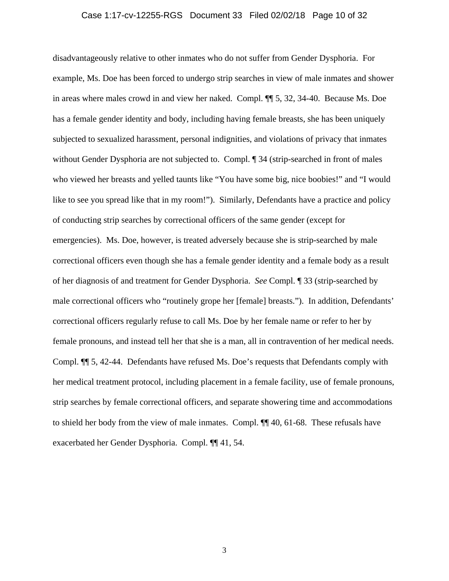#### Case 1:17-cv-12255-RGS Document 33 Filed 02/02/18 Page 10 of 32

disadvantageously relative to other inmates who do not suffer from Gender Dysphoria. For example, Ms. Doe has been forced to undergo strip searches in view of male inmates and shower in areas where males crowd in and view her naked. Compl. ¶¶ 5, 32, 34-40. Because Ms. Doe has a female gender identity and body, including having female breasts, she has been uniquely subjected to sexualized harassment, personal indignities, and violations of privacy that inmates without Gender Dysphoria are not subjected to. Compl.  $\parallel$  34 (strip-searched in front of males who viewed her breasts and yelled taunts like "You have some big, nice boobies!" and "I would like to see you spread like that in my room!"). Similarly, Defendants have a practice and policy of conducting strip searches by correctional officers of the same gender (except for emergencies). Ms. Doe, however, is treated adversely because she is strip-searched by male correctional officers even though she has a female gender identity and a female body as a result of her diagnosis of and treatment for Gender Dysphoria. *See* Compl. ¶ 33 (strip-searched by male correctional officers who "routinely grope her [female] breasts."). In addition, Defendants' correctional officers regularly refuse to call Ms. Doe by her female name or refer to her by female pronouns, and instead tell her that she is a man, all in contravention of her medical needs. Compl. ¶¶ 5, 42-44. Defendants have refused Ms. Doe's requests that Defendants comply with her medical treatment protocol, including placement in a female facility, use of female pronouns, strip searches by female correctional officers, and separate showering time and accommodations to shield her body from the view of male inmates. Compl. ¶¶ 40, 61-68. These refusals have exacerbated her Gender Dysphoria. Compl. ¶¶ 41, 54.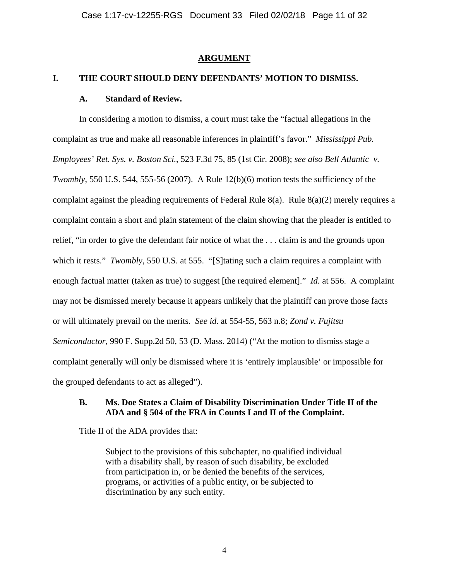#### **ARGUMENT**

## **I. THE COURT SHOULD DENY DEFENDANTS' MOTION TO DISMISS.**

#### **A. Standard of Review.**

In considering a motion to dismiss, a court must take the "factual allegations in the complaint as true and make all reasonable inferences in plaintiff's favor." *Mississippi Pub. Employees' Ret. Sys. v. Boston Sci.*, 523 F.3d 75, 85 (1st Cir. 2008); *see also Bell Atlantic v. Twombly*, 550 U.S. 544, 555-56 (2007). A Rule 12(b)(6) motion tests the sufficiency of the complaint against the pleading requirements of Federal Rule 8(a). Rule 8(a)(2) merely requires a complaint contain a short and plain statement of the claim showing that the pleader is entitled to relief, "in order to give the defendant fair notice of what the . . . claim is and the grounds upon which it rests." *Twombly*, 550 U.S. at 555. "[S]tating such a claim requires a complaint with enough factual matter (taken as true) to suggest [the required element]." *Id.* at 556. A complaint may not be dismissed merely because it appears unlikely that the plaintiff can prove those facts or will ultimately prevail on the merits. *See id.* at 554-55, 563 n.8; *Zond v. Fujitsu Semiconductor,* 990 F. Supp.2d 50, 53 (D. Mass. 2014) ("At the motion to dismiss stage a complaint generally will only be dismissed where it is 'entirely implausible' or impossible for the grouped defendants to act as alleged").

## **B. Ms. Doe States a Claim of Disability Discrimination Under Title II of the ADA and § 504 of the FRA in Counts I and II of the Complaint.**

Title II of the ADA provides that:

Subject to the provisions of this subchapter, no qualified individual with a disability shall, by reason of such disability, be excluded from participation in, or be denied the benefits of the services, programs, or activities of a public entity, or be subjected to discrimination by any such entity.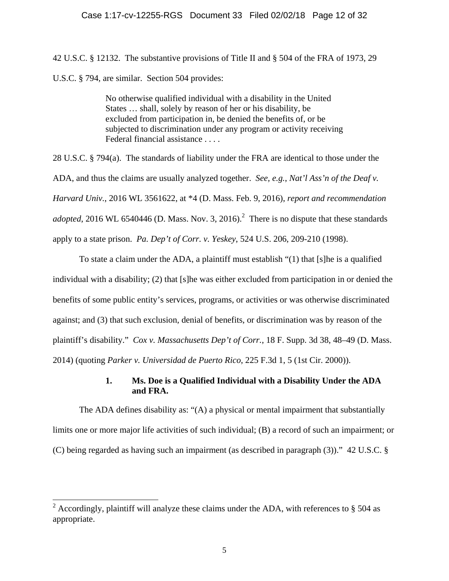42 U.S.C. § 12132. The substantive provisions of Title II and § 504 of the FRA of 1973, 29 U.S.C. § 794, are similar. Section 504 provides:

> No otherwise qualified individual with a disability in the United States … shall, solely by reason of her or his disability, be excluded from participation in, be denied the benefits of, or be subjected to discrimination under any program or activity receiving Federal financial assistance . . . .

28 U.S.C. § 794(a). The standards of liability under the FRA are identical to those under the ADA, and thus the claims are usually analyzed together. *See, e.g.*, *Nat'l Ass'n of the Deaf v. Harvard Univ.*, 2016 WL 3561622, at \*4 (D. Mass. Feb. 9, 2016), *report and recommendation adopted*, 2016 WL 6540446 (D. Mass. Nov. 3, 2016).<sup>2</sup> There is no dispute that these standards apply to a state prison. *Pa. Dep't of Corr. v. Yeskey*, 524 U.S. 206, 209-210 (1998).

To state a claim under the ADA, a plaintiff must establish "(1) that [s]he is a qualified individual with a disability; (2) that [s]he was either excluded from participation in or denied the benefits of some public entity's services, programs, or activities or was otherwise discriminated against; and (3) that such exclusion, denial of benefits, or discrimination was by reason of the plaintiff's disability." *Cox v. Massachusetts Dep't of Corr.*, 18 F. Supp. 3d 38, 48–49 (D. Mass. 2014) (quoting *Parker v. Universidad de Puerto Rico*, 225 F.3d 1, 5 (1st Cir. 2000)).

# **1. Ms. Doe is a Qualified Individual with a Disability Under the ADA and FRA.**

The ADA defines disability as: "(A) a physical or mental impairment that substantially limits one or more major life activities of such individual; (B) a record of such an impairment; or (C) being regarded as having such an impairment (as described in paragraph (3))." 42 U.S.C. §

<sup>&</sup>lt;sup>2</sup> Accordingly, plaintiff will analyze these claims under the ADA, with references to § 504 as appropriate.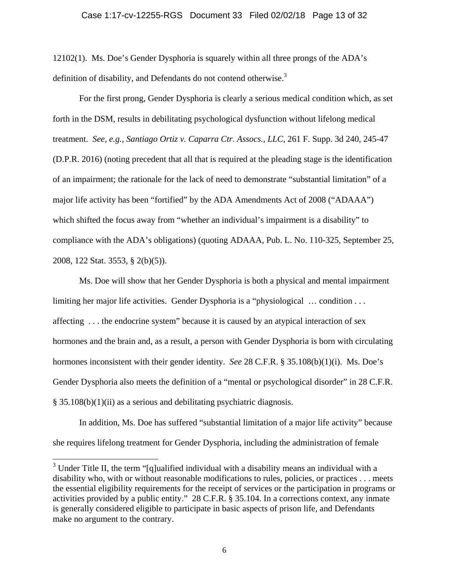12102(1). Ms. Doe's Gender Dysphoria is squarely within all three prongs of the ADA's definition of disability, and Defendants do not contend otherwise.<sup>3</sup>

For the first prong, Gender Dysphoria is clearly a serious medical condition which, as set forth in the DSM, results in debilitating psychological dysfunction without lifelong medical treatment. *See, e.g., Santiago Ortiz v. Caparra Ctr. Assocs., LLC*, 261 F. Supp. 3d 240, 245-47 (D.P.R. 2016) (noting precedent that all that is required at the pleading stage is the identification of an impairment; the rationale for the lack of need to demonstrate "substantial limitation" of a major life activity has been "fortified" by the ADA Amendments Act of 2008 ("ADAAA") which shifted the focus away from "whether an individual's impairment is a disability" to compliance with the ADA's obligations) (quoting ADAAA, Pub. L. No. 110-325, September 25, 2008, 122 Stat. 3553, § 2(b)(5)).

Ms. Doe will show that her Gender Dysphoria is both a physical and mental impairment limiting her major life activities. Gender Dysphoria is a "physiological … condition . . . affecting . . . the endocrine system" because it is caused by an atypical interaction of sex hormones and the brain and, as a result, a person with Gender Dysphoria is born with circulating hormones inconsistent with their gender identity. *See* 28 C.F.R. § 35.108(b)(1)(i). Ms. Doe's Gender Dysphoria also meets the definition of a "mental or psychological disorder" in 28 C.F.R. § 35.108(b)(1)(ii) as a serious and debilitating psychiatric diagnosis.

In addition, Ms. Doe has suffered "substantial limitation of a major life activity" because she requires lifelong treatment for Gender Dysphoria, including the administration of female

<sup>&</sup>lt;sup>3</sup> Under Title II, the term "[q]ualified individual with a disability means an individual with a disability who, with or without reasonable modifications to rules, policies, or practices . . . meets the essential eligibility requirements for the receipt of services or the participation in programs or activities provided by a public entity." 28 C.F.R. § 35.104. In a corrections context, any inmate is generally considered eligible to participate in basic aspects of prison life, and Defendants make no argument to the contrary.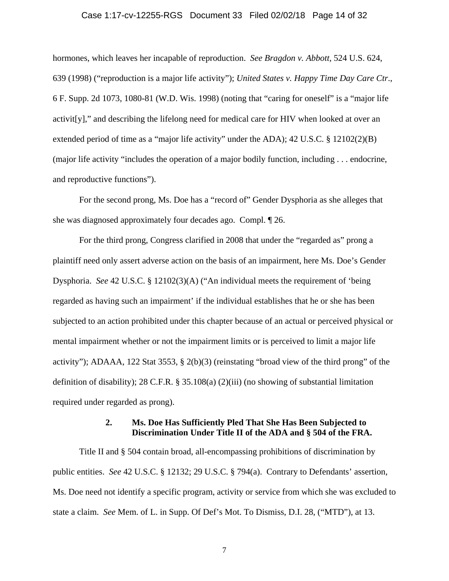#### Case 1:17-cv-12255-RGS Document 33 Filed 02/02/18 Page 14 of 32

hormones, which leaves her incapable of reproduction. *See Bragdon v. Abbott,* 524 U.S. 624, 639 (1998) ("reproduction is a major life activity"); *United States v. Happy Time Day Care Ctr*., 6 F. Supp. 2d 1073, 1080-81 (W.D. Wis. 1998) (noting that "caring for oneself" is a "major life activit[y]," and describing the lifelong need for medical care for HIV when looked at over an extended period of time as a "major life activity" under the ADA); 42 U.S.C. § 12102(2)(B) (major life activity "includes the operation of a major bodily function, including . . . endocrine, and reproductive functions").

For the second prong, Ms. Doe has a "record of" Gender Dysphoria as she alleges that she was diagnosed approximately four decades ago. Compl. ¶ 26.

For the third prong, Congress clarified in 2008 that under the "regarded as" prong a plaintiff need only assert adverse action on the basis of an impairment, here Ms. Doe's Gender Dysphoria. *See* 42 U.S.C. § 12102(3)(A) ("An individual meets the requirement of 'being regarded as having such an impairment' if the individual establishes that he or she has been subjected to an action prohibited under this chapter because of an actual or perceived physical or mental impairment whether or not the impairment limits or is perceived to limit a major life activity"); ADAAA, 122 Stat 3553, § 2(b)(3) (reinstating "broad view of the third prong" of the definition of disability); 28 C.F.R. § 35.108(a) (2)(iii) (no showing of substantial limitation required under regarded as prong).

## **2. Ms. Doe Has Sufficiently Pled That She Has Been Subjected to Discrimination Under Title II of the ADA and § 504 of the FRA.**

Title II and § 504 contain broad, all-encompassing prohibitions of discrimination by public entities. *See* 42 U.S.C. § 12132; 29 U.S.C. § 794(a). Contrary to Defendants' assertion, Ms. Doe need not identify a specific program, activity or service from which she was excluded to state a claim. *See* Mem. of L. in Supp. Of Def's Mot. To Dismiss, D.I. 28, ("MTD"), at 13.

7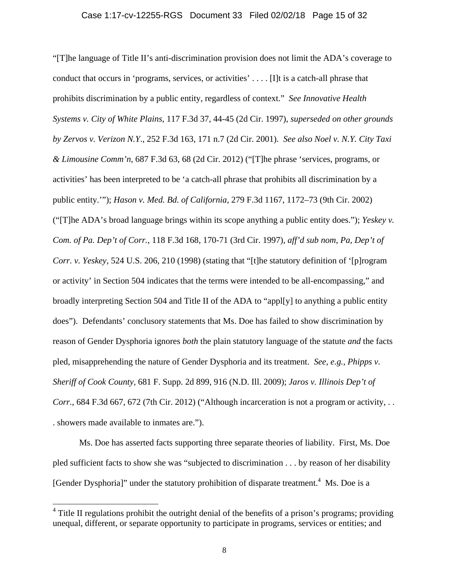"[T]he language of Title II's anti-discrimination provision does not limit the ADA's coverage to conduct that occurs in 'programs, services, or activities' . . . . [I]t is a catch-all phrase that prohibits discrimination by a public entity, regardless of context." *See Innovative Health Systems v. City of White Plains*, 117 F.3d 37, 44-45 (2d Cir. 1997), *superseded on other grounds by Zervos v. Verizon N.Y*., 252 F.3d 163, 171 n.7 (2d Cir. 2001). *See also Noel v. N.Y. City Taxi & Limousine Comm'n*, 687 F.3d 63, 68 (2d Cir. 2012) ("[T]he phrase 'services, programs, or activities' has been interpreted to be 'a catch-all phrase that prohibits all discrimination by a public entity.'"); *Hason v. Med. Bd. of California*, 279 F.3d 1167, 1172–73 (9th Cir. 2002) ("[T]he ADA's broad language brings within its scope anything a public entity does."); *Yeskey v. Com. of Pa. Dep't of Corr.*, 118 F.3d 168, 170-71 (3rd Cir. 1997), *aff'd sub nom*, *Pa, Dep't of Corr. v. Yeskey*, 524 U.S. 206, 210 (1998) (stating that "[t]he statutory definition of '[p]rogram or activity' in Section 504 indicates that the terms were intended to be all-encompassing," and broadly interpreting Section 504 and Title II of the ADA to "appl[y] to anything a public entity does"). Defendants' conclusory statements that Ms. Doe has failed to show discrimination by reason of Gender Dysphoria ignores *both* the plain statutory language of the statute *and* the facts pled, misapprehending the nature of Gender Dysphoria and its treatment. *See, e.g., Phipps v. Sheriff of Cook County,* 681 F. Supp. 2d 899, 916 (N.D. Ill. 2009); *Jaros v. Illinois Dep't of Corr.*, 684 F.3d 667, 672 (7th Cir. 2012) ("Although incarceration is not a program or activity, ... . showers made available to inmates are.").

Ms. Doe has asserted facts supporting three separate theories of liability. First, Ms. Doe pled sufficient facts to show she was "subjected to discrimination . . . by reason of her disability [Gender Dysphoria]" under the statutory prohibition of disparate treatment.<sup>4</sup> Ms. Doe is a

<sup>&</sup>lt;sup>4</sup> Title II regulations prohibit the outright denial of the benefits of a prison's programs; providing unequal, different, or separate opportunity to participate in programs, services or entities; and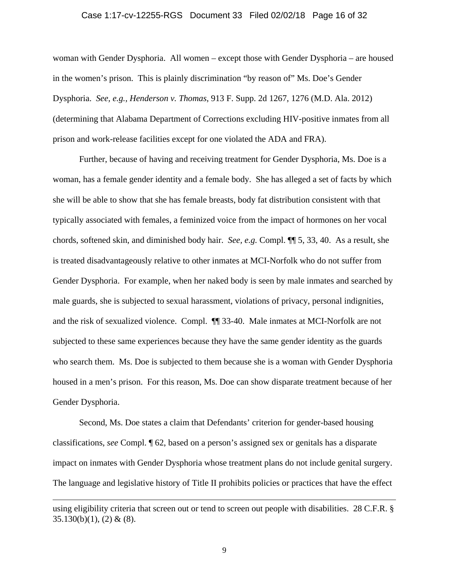#### Case 1:17-cv-12255-RGS Document 33 Filed 02/02/18 Page 16 of 32

woman with Gender Dysphoria. All women – except those with Gender Dysphoria – are housed in the women's prison. This is plainly discrimination "by reason of" Ms. Doe's Gender Dysphoria. *See, e.g., Henderson v. Thomas*, 913 F. Supp. 2d 1267, 1276 (M.D. Ala. 2012) (determining that Alabama Department of Corrections excluding HIV-positive inmates from all prison and work-release facilities except for one violated the ADA and FRA).

Further, because of having and receiving treatment for Gender Dysphoria, Ms. Doe is a woman, has a female gender identity and a female body. She has alleged a set of facts by which she will be able to show that she has female breasts, body fat distribution consistent with that typically associated with females, a feminized voice from the impact of hormones on her vocal chords, softened skin, and diminished body hair. *See, e.g.* Compl. ¶¶ 5, 33, 40. As a result, she is treated disadvantageously relative to other inmates at MCI-Norfolk who do not suffer from Gender Dysphoria. For example, when her naked body is seen by male inmates and searched by male guards, she is subjected to sexual harassment, violations of privacy, personal indignities, and the risk of sexualized violence. Compl. ¶¶ 33-40. Male inmates at MCI-Norfolk are not subjected to these same experiences because they have the same gender identity as the guards who search them. Ms. Doe is subjected to them because she is a woman with Gender Dysphoria housed in a men's prison. For this reason, Ms. Doe can show disparate treatment because of her Gender Dysphoria.

Second, Ms. Doe states a claim that Defendants' criterion for gender-based housing classifications, *see* Compl. ¶ 62, based on a person's assigned sex or genitals has a disparate impact on inmates with Gender Dysphoria whose treatment plans do not include genital surgery. The language and legislative history of Title II prohibits policies or practices that have the effect

using eligibility criteria that screen out or tend to screen out people with disabilities. 28 C.F.R. §  $35.130(b)(1)$ , (2) & (8).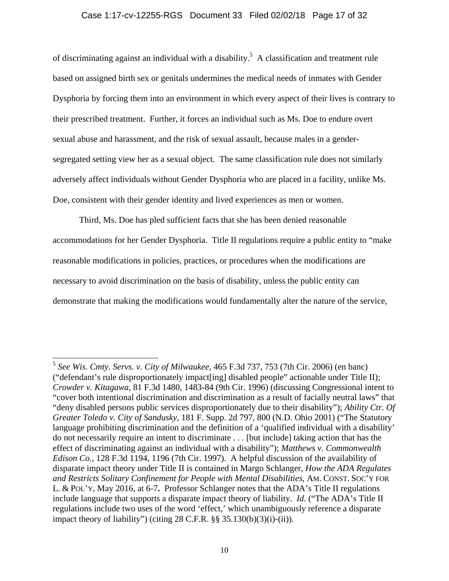#### Case 1:17-cv-12255-RGS Document 33 Filed 02/02/18 Page 17 of 32

of discriminating against an individual with a disability.<sup>5</sup> A classification and treatment rule based on assigned birth sex or genitals undermines the medical needs of inmates with Gender Dysphoria by forcing them into an environment in which every aspect of their lives is contrary to their prescribed treatment. Further, it forces an individual such as Ms. Doe to endure overt sexual abuse and harassment, and the risk of sexual assault, because males in a gendersegregated setting view her as a sexual object. The same classification rule does not similarly adversely affect individuals without Gender Dysphoria who are placed in a facility, unlike Ms. Doe, consistent with their gender identity and lived experiences as men or women.

Third, Ms. Doe has pled sufficient facts that she has been denied reasonable accommodations for her Gender Dysphoria. Title II regulations require a public entity to "make reasonable modifications in policies, practices, or procedures when the modifications are necessary to avoid discrimination on the basis of disability, unless the public entity can demonstrate that making the modifications would fundamentally alter the nature of the service,

<sup>5</sup> *See Wis. Cmty. Servs. v. City of Milwaukee,* 465 F.3d 737, 753 (7th Cir. 2006) (en banc) ("defendant's rule disproportionately impact[ing] disabled people" actionable under Title II); *Crowder v. Kitagawa*, 81 F.3d 1480, 1483-84 (9th Cir. 1996) (discussing Congressional intent to "cover both intentional discrimination and discrimination as a result of facially neutral laws" that "deny disabled persons public services disproportionately due to their disability"); *Ability Ctr. Of Greater Toledo v. City of Sandusky*, 181 F. Supp. 2d 797, 800 (N.D. Ohio 2001) ("The Statutory language prohibiting discrimination and the definition of a 'qualified individual with a disability' do not necessarily require an intent to discriminate . . . [but include] taking action that has the effect of discriminating against an individual with a disability"); *Matthews v. Commonwealth Edison Co.*, 128 F.3d 1194, 1196 (7th Cir. 1997). A helpful discussion of the availability of disparate impact theory under Title II is contained in Margo Schlanger, *How the ADA Regulates and Restricts Solitary Confinement for People with Mental Disabilities*, AM. CONST. SOC'Y FOR L. & POL'Y, May 2016, at 6-7**.** Professor Schlanger notes that the ADA's Title II regulations include language that supports a disparate impact theory of liability. *Id.* ("The ADA's Title II regulations include two uses of the word 'effect,' which unambiguously reference a disparate impact theory of liability") (citing 28 C.F.R. §§ 35.130(b)(3)(i)-(ii)).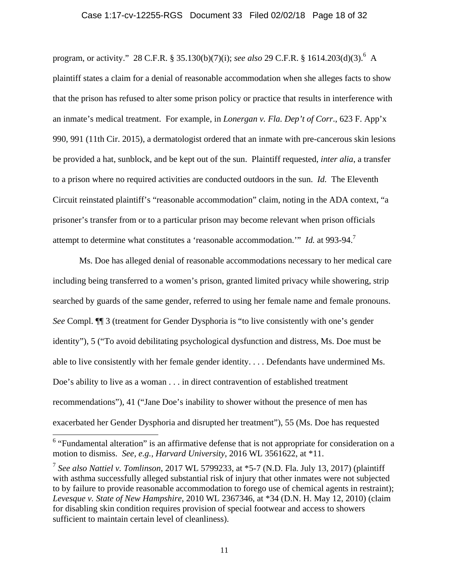#### Case 1:17-cv-12255-RGS Document 33 Filed 02/02/18 Page 18 of 32

program, or activity." 28 C.F.R. § 35.130(b)(7)(i); *see also* 29 C.F.R. § 1614.203(d)(3).<sup>6</sup> A plaintiff states a claim for a denial of reasonable accommodation when she alleges facts to show that the prison has refused to alter some prison policy or practice that results in interference with an inmate's medical treatment. For example, in *Lonergan v. Fla. Dep't of Corr*., 623 F. App'x 990, 991 (11th Cir. 2015), a dermatologist ordered that an inmate with pre-cancerous skin lesions be provided a hat, sunblock, and be kept out of the sun. Plaintiff requested, *inter alia*, a transfer to a prison where no required activities are conducted outdoors in the sun. *Id.* The Eleventh Circuit reinstated plaintiff's "reasonable accommodation" claim, noting in the ADA context, "a prisoner's transfer from or to a particular prison may become relevant when prison officials attempt to determine what constitutes a 'reasonable accommodation.'" *Id.* at 993-94.7

Ms. Doe has alleged denial of reasonable accommodations necessary to her medical care including being transferred to a women's prison, granted limited privacy while showering, strip searched by guards of the same gender, referred to using her female name and female pronouns. *See* Compl. ¶¶ 3 (treatment for Gender Dysphoria is "to live consistently with one's gender identity"), 5 ("To avoid debilitating psychological dysfunction and distress, Ms. Doe must be able to live consistently with her female gender identity. . . . Defendants have undermined Ms. Doe's ability to live as a woman . . . in direct contravention of established treatment recommendations"), 41 ("Jane Doe's inability to shower without the presence of men has exacerbated her Gender Dysphoria and disrupted her treatment"), 55 (Ms. Doe has requested

 $6$  "Fundamental alteration" is an affirmative defense that is not appropriate for consideration on a motion to dismiss. *See, e.g., Harvard University*, 2016 WL 3561622, at \*11.

<sup>7</sup> *See also Nattiel v. Tomlinson*, 2017 WL 5799233, at \*5-7 (N.D. Fla. July 13, 2017) (plaintiff with asthma successfully alleged substantial risk of injury that other inmates were not subjected to by failure to provide reasonable accommodation to forego use of chemical agents in restraint); *Levesque v. State of New Hampshire*, 2010 WL 2367346, at \*34 (D.N. H. May 12, 2010) (claim for disabling skin condition requires provision of special footwear and access to showers sufficient to maintain certain level of cleanliness).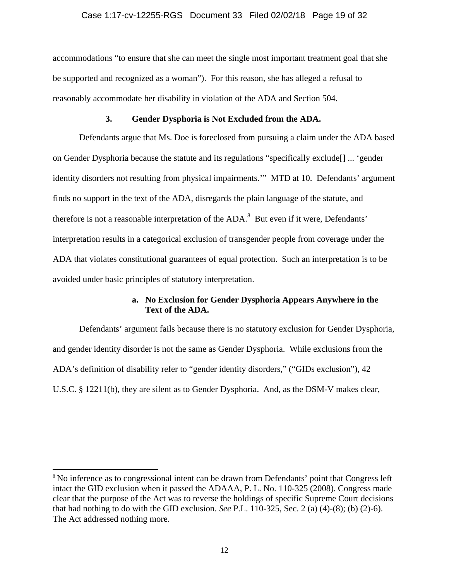#### Case 1:17-cv-12255-RGS Document 33 Filed 02/02/18 Page 19 of 32

accommodations "to ensure that she can meet the single most important treatment goal that she be supported and recognized as a woman"). For this reason, she has alleged a refusal to reasonably accommodate her disability in violation of the ADA and Section 504.

#### **3. Gender Dysphoria is Not Excluded from the ADA.**

Defendants argue that Ms. Doe is foreclosed from pursuing a claim under the ADA based on Gender Dysphoria because the statute and its regulations "specifically exclude[] ... 'gender identity disorders not resulting from physical impairments.'" MTD at 10. Defendants' argument finds no support in the text of the ADA, disregards the plain language of the statute, and therefore is not a reasonable interpretation of the  $ADA$ .<sup>8</sup> But even if it were, Defendants' interpretation results in a categorical exclusion of transgender people from coverage under the ADA that violates constitutional guarantees of equal protection. Such an interpretation is to be avoided under basic principles of statutory interpretation.

## **a. No Exclusion for Gender Dysphoria Appears Anywhere in the Text of the ADA.**

Defendants' argument fails because there is no statutory exclusion for Gender Dysphoria, and gender identity disorder is not the same as Gender Dysphoria. While exclusions from the ADA's definition of disability refer to "gender identity disorders," ("GIDs exclusion"), 42 U.S.C. § 12211(b), they are silent as to Gender Dysphoria. And, as the DSM-V makes clear,

<sup>&</sup>lt;sup>8</sup> No inference as to congressional intent can be drawn from Defendants' point that Congress left intact the GID exclusion when it passed the ADAAA, P. L. No. 110-325 (2008). Congress made clear that the purpose of the Act was to reverse the holdings of specific Supreme Court decisions that had nothing to do with the GID exclusion. *See* P.L. 110-325, Sec. 2 (a) (4)-(8); (b) (2)-6). The Act addressed nothing more.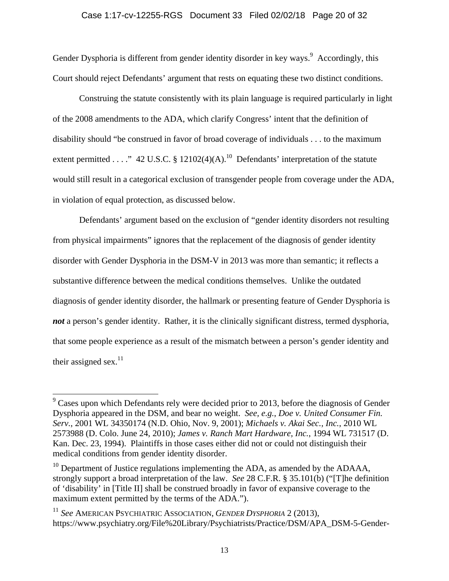Gender Dysphoria is different from gender identity disorder in key ways.<sup>9</sup> Accordingly, this Court should reject Defendants' argument that rests on equating these two distinct conditions.

Construing the statute consistently with its plain language is required particularly in light of the 2008 amendments to the ADA, which clarify Congress' intent that the definition of disability should "be construed in favor of broad coverage of individuals . . . to the maximum extent permitted . . . ." 42 U.S.C. § 12102(4)(A).<sup>10</sup> Defendants' interpretation of the statute would still result in a categorical exclusion of transgender people from coverage under the ADA, in violation of equal protection, as discussed below.

Defendants' argument based on the exclusion of "gender identity disorders not resulting from physical impairments" ignores that the replacement of the diagnosis of gender identity disorder with Gender Dysphoria in the DSM-V in 2013 was more than semantic; it reflects a substantive difference between the medical conditions themselves. Unlike the outdated diagnosis of gender identity disorder, the hallmark or presenting feature of Gender Dysphoria is *not* a person's gender identity. Rather, it is the clinically significant distress, termed dysphoria, that some people experience as a result of the mismatch between a person's gender identity and their assigned sex.<sup>11</sup>

 $9^9$  Cases upon which Defendants rely were decided prior to 2013, before the diagnosis of Gender Dysphoria appeared in the DSM, and bear no weight. *See, e.g.*, *Doe v. United Consumer Fin. Serv.*, 2001 WL 34350174 (N.D. Ohio, Nov. 9, 2001); *Michaels v. Akai Sec., Inc.*, 2010 WL 2573988 (D. Colo. June 24, 2010); *James v. Ranch Mart Hardware, Inc.*, 1994 WL 731517 (D. Kan. Dec. 23, 1994). Plaintiffs in those cases either did not or could not distinguish their medical conditions from gender identity disorder.

 $10$  Department of Justice regulations implementing the ADA, as amended by the ADAAA, strongly support a broad interpretation of the law. *See* 28 C.F.R. § 35.101(b) ("[T]he definition of 'disability' in [Title II] shall be construed broadly in favor of expansive coverage to the maximum extent permitted by the terms of the ADA.").

<sup>11</sup> *See* AMERICAN PSYCHIATRIC ASSOCIATION, *GENDER DYSPHORIA* 2 (2013), https://www.psychiatry.org/File%20Library/Psychiatrists/Practice/DSM/APA\_DSM-5-Gender-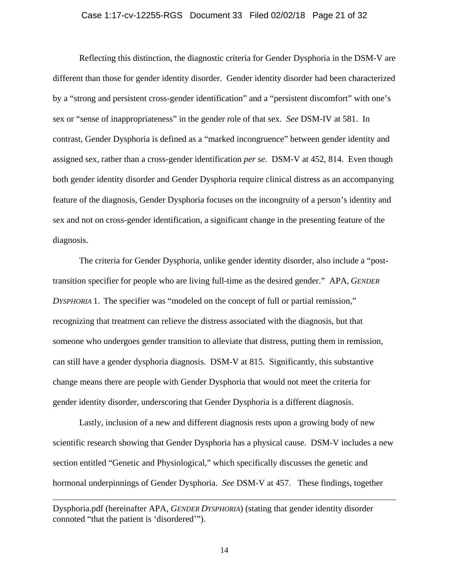#### Case 1:17-cv-12255-RGS Document 33 Filed 02/02/18 Page 21 of 32

Reflecting this distinction, the diagnostic criteria for Gender Dysphoria in the DSM-V are different than those for gender identity disorder. Gender identity disorder had been characterized by a "strong and persistent cross-gender identification" and a "persistent discomfort" with one's sex or "sense of inappropriateness" in the gender role of that sex. *See* DSM-IV at 581. In contrast, Gender Dysphoria is defined as a "marked incongruence" between gender identity and assigned sex, rather than a cross-gender identification *per se*. DSM-V at 452, 814. Even though both gender identity disorder and Gender Dysphoria require clinical distress as an accompanying feature of the diagnosis, Gender Dysphoria focuses on the incongruity of a person's identity and sex and not on cross-gender identification, a significant change in the presenting feature of the diagnosis.

The criteria for Gender Dysphoria, unlike gender identity disorder, also include a "posttransition specifier for people who are living full-time as the desired gender." APA, *GENDER DYSPHORIA* 1. The specifier was "modeled on the concept of full or partial remission," recognizing that treatment can relieve the distress associated with the diagnosis, but that someone who undergoes gender transition to alleviate that distress, putting them in remission, can still have a gender dysphoria diagnosis. DSM-V at 815. Significantly, this substantive change means there are people with Gender Dysphoria that would not meet the criteria for gender identity disorder, underscoring that Gender Dysphoria is a different diagnosis.

Lastly, inclusion of a new and different diagnosis rests upon a growing body of new scientific research showing that Gender Dysphoria has a physical cause. DSM-V includes a new section entitled "Genetic and Physiological," which specifically discusses the genetic and hormonal underpinnings of Gender Dysphoria. *See* DSM-V at 457. These findings, together

Dysphoria.pdf (hereinafter APA, *GENDER DYSPHORIA*) (stating that gender identity disorder connoted "that the patient is 'disordered'").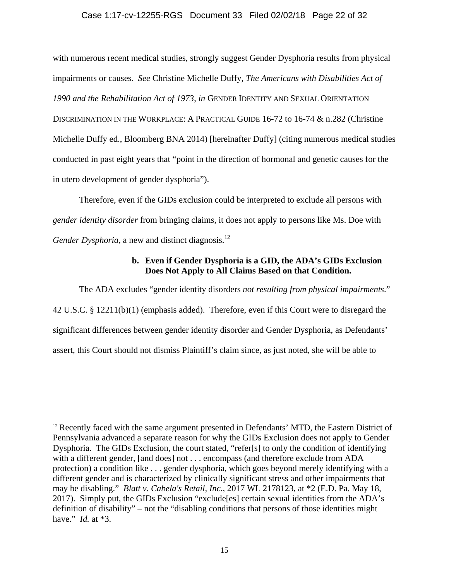#### Case 1:17-cv-12255-RGS Document 33 Filed 02/02/18 Page 22 of 32

with numerous recent medical studies, strongly suggest Gender Dysphoria results from physical impairments or causes. *See* Christine Michelle Duffy, *The Americans with Disabilities Act of 1990 and the Rehabilitation Act of 1973*, *in* GENDER IDENTITY AND SEXUAL ORIENTATION DISCRIMINATION IN THE WORKPLACE: A PRACTICAL GUIDE 16-72 to 16-74 & n.282 (Christine Michelle Duffy ed., Bloomberg BNA 2014) [hereinafter Duffy] (citing numerous medical studies conducted in past eight years that "point in the direction of hormonal and genetic causes for the in utero development of gender dysphoria").

Therefore, even if the GIDs exclusion could be interpreted to exclude all persons with *gender identity disorder* from bringing claims, it does not apply to persons like Ms. Doe with *Gender Dysphoria*, a new and distinct diagnosis.<sup>12</sup>

## **b. Even if Gender Dysphoria is a GID, the ADA's GIDs Exclusion Does Not Apply to All Claims Based on that Condition.**

The ADA excludes "gender identity disorders *not resulting from physical impairments*." 42 U.S.C. § 12211(b)(1) (emphasis added). Therefore, even if this Court were to disregard the significant differences between gender identity disorder and Gender Dysphoria, as Defendants' assert, this Court should not dismiss Plaintiff's claim since, as just noted, she will be able to

 $12$  Recently faced with the same argument presented in Defendants' MTD, the Eastern District of Pennsylvania advanced a separate reason for why the GIDs Exclusion does not apply to Gender Dysphoria. The GIDs Exclusion, the court stated, "refer[s] to only the condition of identifying with a different gender, [and does] not . . . encompass (and therefore exclude from ADA protection) a condition like . . . gender dysphoria, which goes beyond merely identifying with a different gender and is characterized by clinically significant stress and other impairments that may be disabling." *Blatt v. Cabela's Retail, Inc.*, 2017 WL 2178123, at \*2 (E.D. Pa. May 18, 2017). Simply put, the GIDs Exclusion "exclude[es] certain sexual identities from the ADA's definition of disability" – not the "disabling conditions that persons of those identities might have." *Id.* at \*3.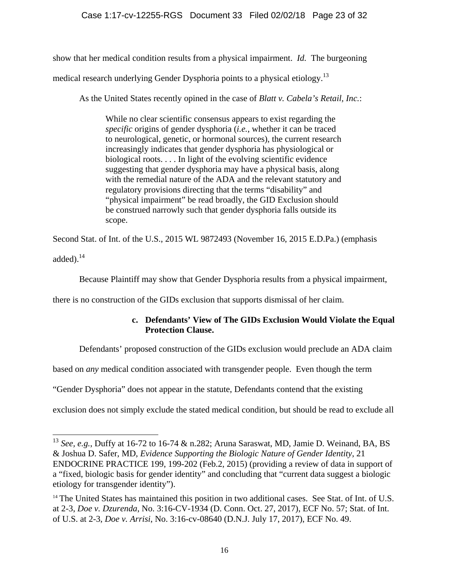show that her medical condition results from a physical impairment. *Id.* The burgeoning

medical research underlying Gender Dysphoria points to a physical etiology.<sup>13</sup>

As the United States recently opined in the case of *Blatt v. Cabela's Retail, Inc.*:

While no clear scientific consensus appears to exist regarding the *specific* origins of gender dysphoria (*i.e.*, whether it can be traced to neurological, genetic, or hormonal sources), the current research increasingly indicates that gender dysphoria has physiological or biological roots. . . . In light of the evolving scientific evidence suggesting that gender dysphoria may have a physical basis, along with the remedial nature of the ADA and the relevant statutory and regulatory provisions directing that the terms "disability" and "physical impairment" be read broadly, the GID Exclusion should be construed narrowly such that gender dysphoria falls outside its scope.

Second Stat. of Int. of the U.S., 2015 WL 9872493 (November 16, 2015 E.D.Pa.) (emphasis added). $^{14}$ 

Because Plaintiff may show that Gender Dysphoria results from a physical impairment,

there is no construction of the GIDs exclusion that supports dismissal of her claim.

# **c. Defendants' View of The GIDs Exclusion Would Violate the Equal Protection Clause.**

Defendants' proposed construction of the GIDs exclusion would preclude an ADA claim

based on *any* medical condition associated with transgender people. Even though the term

"Gender Dysphoria" does not appear in the statute, Defendants contend that the existing

l

exclusion does not simply exclude the stated medical condition, but should be read to exclude all

<sup>13</sup> *See, e.g.*, Duffy at 16-72 to 16-74 & n.282; Aruna Saraswat, MD, Jamie D. Weinand, BA, BS & Joshua D. Safer, MD, *Evidence Supporting the Biologic Nature of Gender Identity*, 21 ENDOCRINE PRACTICE 199, 199-202 (Feb.2, 2015) (providing a review of data in support of a "fixed, biologic basis for gender identity" and concluding that "current data suggest a biologic etiology for transgender identity").

<sup>&</sup>lt;sup>14</sup> The United States has maintained this position in two additional cases. See Stat. of Int. of U.S. at 2-3, *Doe v. Dzurenda*, No. 3:16-CV-1934 (D. Conn. Oct. 27, 2017), ECF No. 57; Stat. of Int. of U.S. at 2-3, *Doe v. Arrisi*, No. 3:16-cv-08640 (D.N.J. July 17, 2017), ECF No. 49.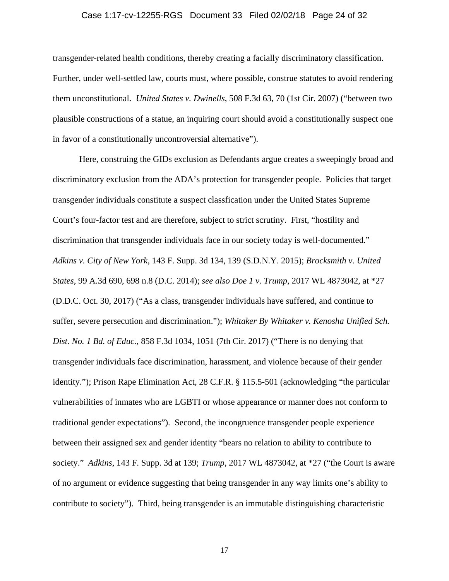#### Case 1:17-cv-12255-RGS Document 33 Filed 02/02/18 Page 24 of 32

transgender-related health conditions, thereby creating a facially discriminatory classification. Further, under well-settled law, courts must, where possible, construe statutes to avoid rendering them unconstitutional. *United States v. Dwinells*, 508 F.3d 63, 70 (1st Cir. 2007) ("between two plausible constructions of a statue, an inquiring court should avoid a constitutionally suspect one in favor of a constitutionally uncontroversial alternative").

Here, construing the GIDs exclusion as Defendants argue creates a sweepingly broad and discriminatory exclusion from the ADA's protection for transgender people. Policies that target transgender individuals constitute a suspect classfication under the United States Supreme Court's four-factor test and are therefore, subject to strict scrutiny. First, "hostility and discrimination that transgender individuals face in our society today is well-documented." *Adkins v. City of New York*, 143 F. Supp. 3d 134, 139 (S.D.N.Y. 2015); *Brocksmith v. United States*, 99 A.3d 690, 698 n.8 (D.C. 2014); *see also Doe 1 v. Trump*, 2017 WL 4873042, at \*27 (D.D.C. Oct. 30, 2017) ("As a class, transgender individuals have suffered, and continue to suffer, severe persecution and discrimination."); *Whitaker By Whitaker v. Kenosha Unified Sch. Dist. No. 1 Bd. of Educ.*, 858 F.3d 1034, 1051 (7th Cir. 2017) ("There is no denying that transgender individuals face discrimination, harassment, and violence because of their gender identity."); Prison Rape Elimination Act, 28 C.F.R. § 115.5-501 (acknowledging "the particular vulnerabilities of inmates who are LGBTI or whose appearance or manner does not conform to traditional gender expectations"). Second, the incongruence transgender people experience between their assigned sex and gender identity "bears no relation to ability to contribute to society." *Adkins*, 143 F. Supp. 3d at 139; *Trump*, 2017 WL 4873042, at \*27 ("the Court is aware of no argument or evidence suggesting that being transgender in any way limits one's ability to contribute to society"). Third, being transgender is an immutable distinguishing characteristic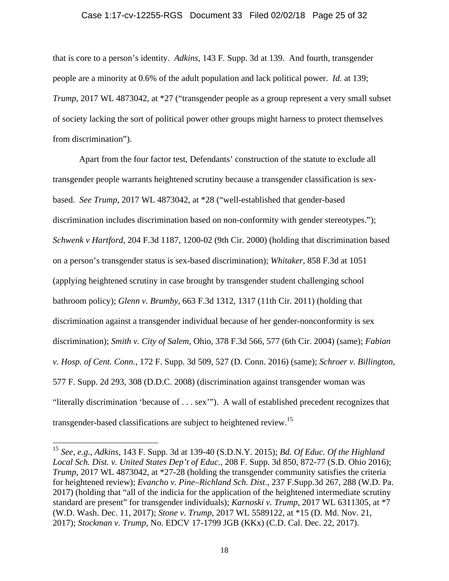#### Case 1:17-cv-12255-RGS Document 33 Filed 02/02/18 Page 25 of 32

that is core to a person's identity. *Adkins*, 143 F. Supp. 3d at 139. And fourth, transgender people are a minority at 0.6% of the adult population and lack political power. *Id.* at 139; *Trump*, 2017 WL 4873042, at \*27 ("transgender people as a group represent a very small subset of society lacking the sort of political power other groups might harness to protect themselves from discrimination").

Apart from the four factor test, Defendants' construction of the statute to exclude all transgender people warrants heightened scrutiny because a transgender classification is sexbased. *See Trump*, 2017 WL 4873042, at \*28 ("well-established that gender-based discrimination includes discrimination based on non-conformity with gender stereotypes."); *Schwenk v Hartford*, 204 F.3d 1187, 1200-02 (9th Cir. 2000) (holding that discrimination based on a person's transgender status is sex-based discrimination); *Whitaker*, 858 F.3d at 1051 (applying heightened scrutiny in case brought by transgender student challenging school bathroom policy); *Glenn v. Brumby*, 663 F.3d 1312, 1317 (11th Cir. 2011) (holding that discrimination against a transgender individual because of her gender-nonconformity is sex discrimination); *Smith v. City of Salem*, Ohio, 378 F.3d 566, 577 (6th Cir. 2004) (same); *Fabian v. Hosp. of Cent. Conn.*, 172 F. Supp. 3d 509, 527 (D. Conn. 2016) (same); *Schroer v. Billington*, 577 F. Supp. 2d 293, 308 (D.D.C. 2008) (discrimination against transgender woman was "literally discrimination 'because of . . . sex'"). A wall of established precedent recognizes that transgender-based classifications are subject to heightened review.<sup>15</sup>

<sup>15</sup> *See, e.g.*, *Adkins*, 143 F. Supp. 3d at 139-40 (S.D.N.Y. 2015); *Bd. Of Educ. Of the Highland Local Sch. Dist. v. United States Dep't of Educ.*, 208 F. Supp. 3d 850, 872-77 (S.D. Ohio 2016); *Trump*, 2017 WL 4873042, at \*27-28 (holding the transgender community satisfies the criteria for heightened review); *Evancho v. Pine–Richland Sch. Dist.*, 237 F.Supp.3d 267, 288 (W.D. Pa. 2017) (holding that "all of the indicia for the application of the heightened intermediate scrutiny standard are present" for transgender individuals); *Karnoski v. Trump*, 2017 WL 6311305, at \*7 (W.D. Wash. Dec. 11, 2017); *Stone v. Trump*, 2017 WL 5589122, at \*15 (D. Md. Nov. 21, 2017); *Stockman v. Trump*, No. EDCV 17-1799 JGB (KKx) (C.D. Cal. Dec. 22, 2017).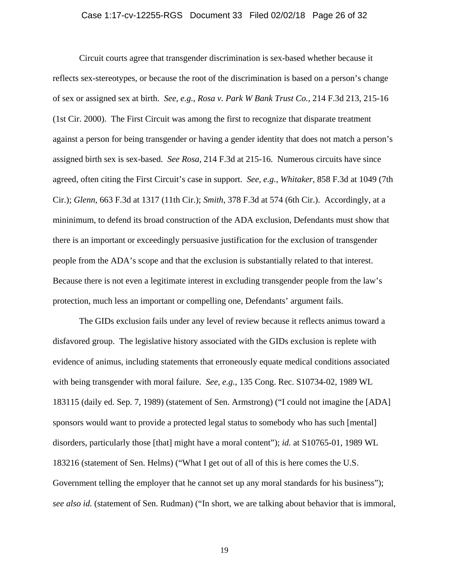#### Case 1:17-cv-12255-RGS Document 33 Filed 02/02/18 Page 26 of 32

Circuit courts agree that transgender discrimination is sex-based whether because it reflects sex-stereotypes, or because the root of the discrimination is based on a person's change of sex or assigned sex at birth. *See, e.g.*, *Rosa v. Park W Bank Trust Co.*, 214 F.3d 213, 215-16 (1st Cir. 2000). The First Circuit was among the first to recognize that disparate treatment against a person for being transgender or having a gender identity that does not match a person's assigned birth sex is sex-based. *See Rosa*, 214 F.3d at 215-16. Numerous circuits have since agreed, often citing the First Circuit's case in support. *See, e.g.*, *Whitaker*, 858 F.3d at 1049 (7th Cir.); *Glenn*, 663 F.3d at 1317 (11th Cir.); *Smith*, 378 F.3d at 574 (6th Cir.). Accordingly, at a mininimum, to defend its broad construction of the ADA exclusion, Defendants must show that there is an important or exceedingly persuasive justification for the exclusion of transgender people from the ADA's scope and that the exclusion is substantially related to that interest. Because there is not even a legitimate interest in excluding transgender people from the law's protection, much less an important or compelling one, Defendants' argument fails.

The GIDs exclusion fails under any level of review because it reflects animus toward a disfavored group. The legislative history associated with the GIDs exclusion is replete with evidence of animus, including statements that erroneously equate medical conditions associated with being transgender with moral failure. *See, e.g.*, 135 Cong. Rec. S10734-02, 1989 WL 183115 (daily ed. Sep. 7, 1989) (statement of Sen. Armstrong) ("I could not imagine the [ADA] sponsors would want to provide a protected legal status to somebody who has such [mental] disorders, particularly those [that] might have a moral content"); *id.* at S10765-01, 1989 WL 183216 (statement of Sen. Helms) ("What I get out of all of this is here comes the U.S. Government telling the employer that he cannot set up any moral standards for his business"); *see also id.* (statement of Sen. Rudman) ("In short, we are talking about behavior that is immoral,

19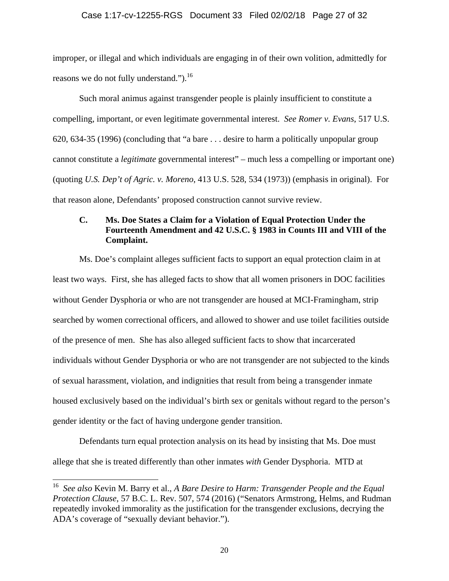#### Case 1:17-cv-12255-RGS Document 33 Filed 02/02/18 Page 27 of 32

improper, or illegal and which individuals are engaging in of their own volition, admittedly for reasons we do not fully understand." $b^{16}$ .

Such moral animus against transgender people is plainly insufficient to constitute a compelling, important, or even legitimate governmental interest. *See Romer v. Evans*, 517 U.S. 620, 634-35 (1996) (concluding that "a bare . . . desire to harm a politically unpopular group cannot constitute a *legitimate* governmental interest" – much less a compelling or important one) (quoting *U.S. Dep't of Agric. v. Moreno*, 413 U.S. 528, 534 (1973)) (emphasis in original). For that reason alone, Defendants' proposed construction cannot survive review.

## **C. Ms. Doe States a Claim for a Violation of Equal Protection Under the Fourteenth Amendment and 42 U.S.C. § 1983 in Counts III and VIII of the Complaint.**

Ms. Doe's complaint alleges sufficient facts to support an equal protection claim in at least two ways. First, she has alleged facts to show that all women prisoners in DOC facilities without Gender Dysphoria or who are not transgender are housed at MCI-Framingham, strip searched by women correctional officers, and allowed to shower and use toilet facilities outside of the presence of men. She has also alleged sufficient facts to show that incarcerated individuals without Gender Dysphoria or who are not transgender are not subjected to the kinds of sexual harassment, violation, and indignities that result from being a transgender inmate housed exclusively based on the individual's birth sex or genitals without regard to the person's gender identity or the fact of having undergone gender transition.

Defendants turn equal protection analysis on its head by insisting that Ms. Doe must allege that she is treated differently than other inmates *with* Gender Dysphoria. MTD at

<sup>16</sup> *See also* Kevin M. Barry et al., *A Bare Desire to Harm: Transgender People and the Equal Protection Clause*, 57 B.C. L. Rev. 507, 574 (2016) ("Senators Armstrong, Helms, and Rudman repeatedly invoked immorality as the justification for the transgender exclusions, decrying the ADA's coverage of "sexually deviant behavior.").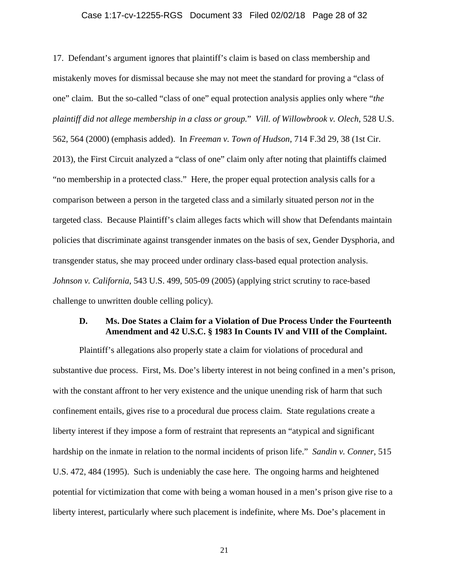#### Case 1:17-cv-12255-RGS Document 33 Filed 02/02/18 Page 28 of 32

17. Defendant's argument ignores that plaintiff's claim is based on class membership and mistakenly moves for dismissal because she may not meet the standard for proving a "class of one" claim. But the so-called "class of one" equal protection analysis applies only where "*the plaintiff did not allege membership in a class or group.*" *Vill. of Willowbrook v. Olech*, 528 U.S. 562, 564 (2000) (emphasis added). In *Freeman v. Town of Hudson*, 714 F.3d 29, 38 (1st Cir. 2013), the First Circuit analyzed a "class of one" claim only after noting that plaintiffs claimed "no membership in a protected class." Here, the proper equal protection analysis calls for a comparison between a person in the targeted class and a similarly situated person *not* in the targeted class. Because Plaintiff's claim alleges facts which will show that Defendants maintain policies that discriminate against transgender inmates on the basis of sex, Gender Dysphoria, and transgender status, she may proceed under ordinary class-based equal protection analysis. *Johnson v. California*, 543 U.S. 499, 505-09 (2005) (applying strict scrutiny to race-based challenge to unwritten double celling policy).

## **D. Ms. Doe States a Claim for a Violation of Due Process Under the Fourteenth Amendment and 42 U.S.C. § 1983 In Counts IV and VIII of the Complaint.**

Plaintiff's allegations also properly state a claim for violations of procedural and substantive due process. First, Ms. Doe's liberty interest in not being confined in a men's prison, with the constant affront to her very existence and the unique unending risk of harm that such confinement entails, gives rise to a procedural due process claim. State regulations create a liberty interest if they impose a form of restraint that represents an "atypical and significant hardship on the inmate in relation to the normal incidents of prison life." *Sandin v. Conner*, 515 U.S. 472, 484 (1995). Such is undeniably the case here. The ongoing harms and heightened potential for victimization that come with being a woman housed in a men's prison give rise to a liberty interest, particularly where such placement is indefinite, where Ms. Doe's placement in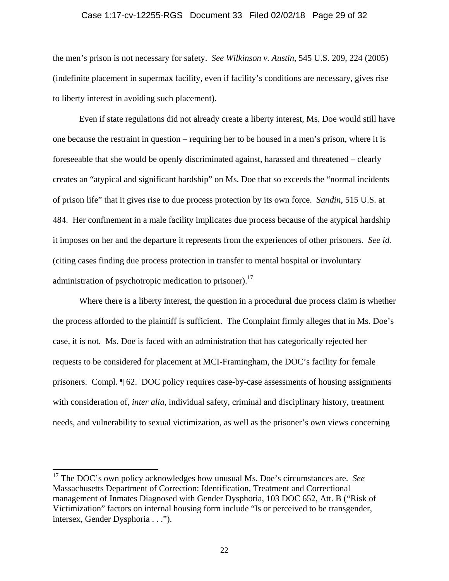#### Case 1:17-cv-12255-RGS Document 33 Filed 02/02/18 Page 29 of 32

the men's prison is not necessary for safety. *See Wilkinson v. Austin*, 545 U.S. 209, 224 (2005) (indefinite placement in supermax facility, even if facility's conditions are necessary, gives rise to liberty interest in avoiding such placement).

Even if state regulations did not already create a liberty interest, Ms. Doe would still have one because the restraint in question – requiring her to be housed in a men's prison, where it is foreseeable that she would be openly discriminated against, harassed and threatened – clearly creates an "atypical and significant hardship" on Ms. Doe that so exceeds the "normal incidents of prison life" that it gives rise to due process protection by its own force. *Sandin*, 515 U.S. at 484. Her confinement in a male facility implicates due process because of the atypical hardship it imposes on her and the departure it represents from the experiences of other prisoners. *See id.* (citing cases finding due process protection in transfer to mental hospital or involuntary administration of psychotropic medication to prisoner).<sup>17</sup>

Where there is a liberty interest, the question in a procedural due process claim is whether the process afforded to the plaintiff is sufficient. The Complaint firmly alleges that in Ms. Doe's case, it is not. Ms. Doe is faced with an administration that has categorically rejected her requests to be considered for placement at MCI-Framingham, the DOC's facility for female prisoners. Compl. ¶ 62. DOC policy requires case-by-case assessments of housing assignments with consideration of, *inter alia*, individual safety, criminal and disciplinary history, treatment needs, and vulnerability to sexual victimization, as well as the prisoner's own views concerning

<sup>17</sup> The DOC's own policy acknowledges how unusual Ms. Doe's circumstances are. *See* Massachusetts Department of Correction: Identification, Treatment and Correctional management of Inmates Diagnosed with Gender Dysphoria, 103 DOC 652, Att. B ("Risk of Victimization" factors on internal housing form include "Is or perceived to be transgender, intersex, Gender Dysphoria . . .").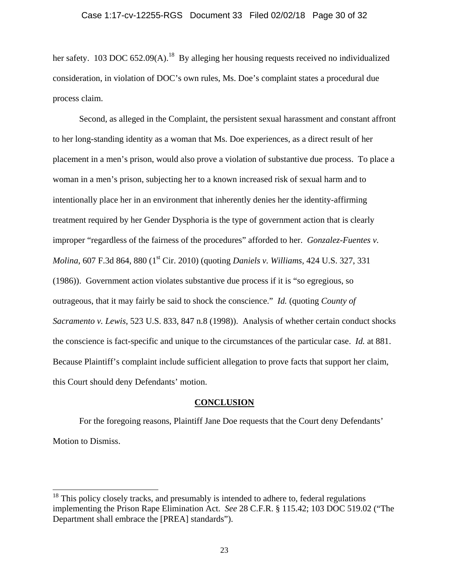her safety. 103 DOC 652.09(A).<sup>18</sup> By alleging her housing requests received no individualized consideration, in violation of DOC's own rules, Ms. Doe's complaint states a procedural due process claim.

Second, as alleged in the Complaint, the persistent sexual harassment and constant affront to her long-standing identity as a woman that Ms. Doe experiences, as a direct result of her placement in a men's prison, would also prove a violation of substantive due process. To place a woman in a men's prison, subjecting her to a known increased risk of sexual harm and to intentionally place her in an environment that inherently denies her the identity-affirming treatment required by her Gender Dysphoria is the type of government action that is clearly improper "regardless of the fairness of the procedures" afforded to her. *Gonzalez-Fuentes v. Molina*, 607 F.3d 864, 880 (1<sup>st</sup> Cir. 2010) (quoting *Daniels v. Williams*, 424 U.S. 327, 331 (1986)). Government action violates substantive due process if it is "so egregious, so outrageous, that it may fairly be said to shock the conscience." *Id.* (quoting *County of Sacramento v. Lewis*, 523 U.S. 833, 847 n.8 (1998)). Analysis of whether certain conduct shocks the conscience is fact-specific and unique to the circumstances of the particular case. *Id.* at 881. Because Plaintiff's complaint include sufficient allegation to prove facts that support her claim, this Court should deny Defendants' motion.

#### **CONCLUSION**

For the foregoing reasons, Plaintiff Jane Doe requests that the Court deny Defendants' Motion to Dismiss.

 $18$  This policy closely tracks, and presumably is intended to adhere to, federal regulations implementing the Prison Rape Elimination Act. *See* 28 C.F.R. § 115.42; 103 DOC 519.02 ("The Department shall embrace the [PREA] standards").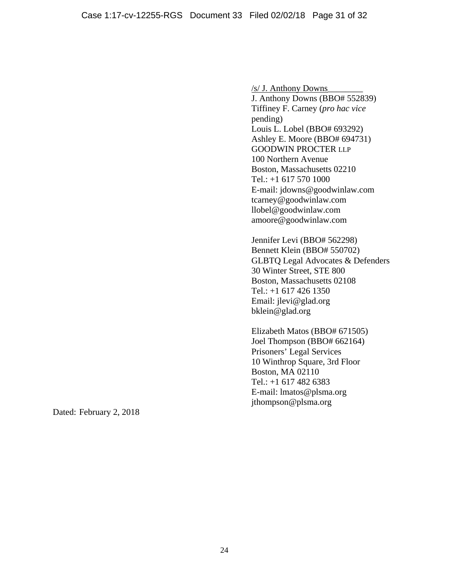/s/ J. Anthony Downs\_\_\_\_\_\_\_\_ J. Anthony Downs (BBO# 552839) Tiffiney F. Carney (*pro hac vice*  pending) Louis L. Lobel (BBO# 693292) Ashley E. Moore (BBO# 694731) GOODWIN PROCTER LLP 100 Northern Avenue Boston, Massachusetts 02210 Tel.: +1 617 570 1000 E-mail: jdowns@goodwinlaw.com tcarney@goodwinlaw.com llobel@goodwinlaw.com amoore@goodwinlaw.com

Jennifer Levi (BBO# 562298) Bennett Klein (BBO# 550702) GLBTQ Legal Advocates & Defenders 30 Winter Street, STE 800 Boston, Massachusetts 02108 Tel.: +1 617 426 1350 Email: jlevi@glad.org bklein@glad.org

Elizabeth Matos (BBO# 671505) Joel Thompson (BBO# 662164) Prisoners' Legal Services 10 Winthrop Square, 3rd Floor Boston, MA 02110 Tel.: +1 617 482 6383 E-mail: lmatos@plsma.org jthompson@plsma.org

Dated: February 2, 2018